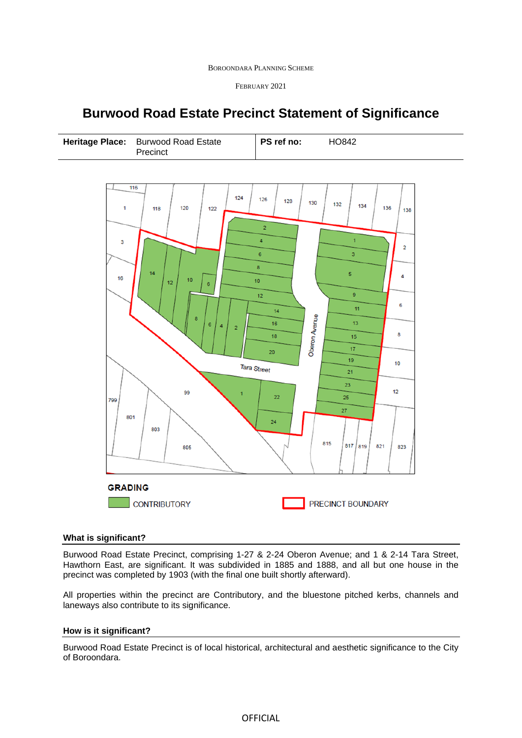| <b>BOROONDARA PLANNING SCHEME</b> |  |  |
|-----------------------------------|--|--|
|-----------------------------------|--|--|

FEBRUARY 2021

# **Burwood Road Estate Precinct Statement of Significance**

| Heritage Place: Burwood Road Estate<br>Precinct |  | PS ref no: | HO842 |
|-------------------------------------------------|--|------------|-------|
|-------------------------------------------------|--|------------|-------|



## **What is significant?**

Burwood Road Estate Precinct, comprising 1-27 & 2-24 Oberon Avenue; and 1 & 2-14 Tara Street, Hawthorn East, are significant. It was subdivided in 1885 and 1888, and all but one house in the precinct was completed by 1903 (with the final one built shortly afterward).

All properties within the precinct are Contributory, and the bluestone pitched kerbs, channels and laneways also contribute to its significance.

## **How is it significant?**

Burwood Road Estate Precinct is of local historical, architectural and aesthetic significance to the City of Boroondara.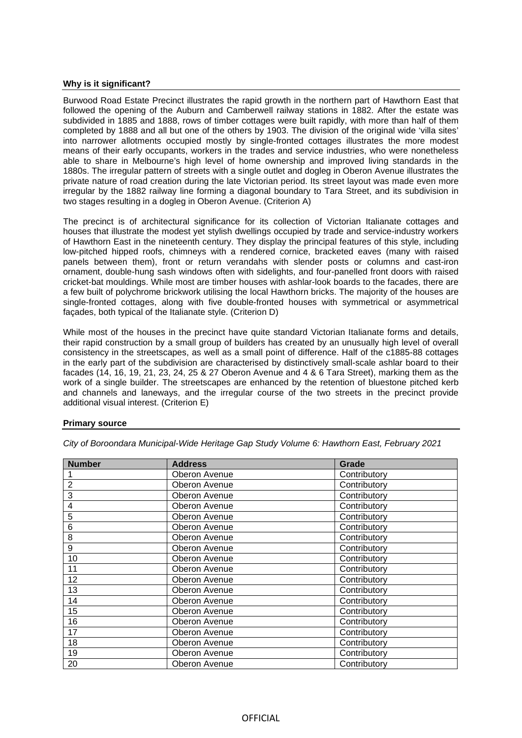#### **Why is it significant?**

Burwood Road Estate Precinct illustrates the rapid growth in the northern part of Hawthorn East that followed the opening of the Auburn and Camberwell railway stations in 1882. After the estate was subdivided in 1885 and 1888, rows of timber cottages were built rapidly, with more than half of them completed by 1888 and all but one of the others by 1903. The division of the original wide 'villa sites' into narrower allotments occupied mostly by single-fronted cottages illustrates the more modest means of their early occupants, workers in the trades and service industries, who were nonetheless able to share in Melbourne's high level of home ownership and improved living standards in the 1880s. The irregular pattern of streets with a single outlet and dogleg in Oberon Avenue illustrates the private nature of road creation during the late Victorian period. Its street layout was made even more irregular by the 1882 railway line forming a diagonal boundary to Tara Street, and its subdivision in two stages resulting in a dogleg in Oberon Avenue. (Criterion A)

The precinct is of architectural significance for its collection of Victorian Italianate cottages and houses that illustrate the modest yet stylish dwellings occupied by trade and service-industry workers of Hawthorn East in the nineteenth century. They display the principal features of this style, including low-pitched hipped roofs, chimneys with a rendered cornice, bracketed eaves (many with raised panels between them), front or return verandahs with slender posts or columns and cast-iron ornament, double-hung sash windows often with sidelights, and four-panelled front doors with raised cricket-bat mouldings. While most are timber houses with ashlar-look boards to the facades, there are a few built of polychrome brickwork utilising the local Hawthorn bricks. The majority of the houses are single-fronted cottages, along with five double-fronted houses with symmetrical or asymmetrical façades, both typical of the Italianate style. (Criterion D)

While most of the houses in the precinct have quite standard Victorian Italianate forms and details, their rapid construction by a small group of builders has created by an unusually high level of overall consistency in the streetscapes, as well as a small point of difference. Half of the c1885-88 cottages in the early part of the subdivision are characterised by distinctively small-scale ashlar board to their facades (14, 16, 19, 21, 23, 24, 25 & 27 Oberon Avenue and 4 & 6 Tara Street), marking them as the work of a single builder. The streetscapes are enhanced by the retention of bluestone pitched kerb and channels and laneways, and the irregular course of the two streets in the precinct provide additional visual interest. (Criterion E)

### **Primary source**

| <b>Number</b>  | <b>Address</b> | Grade        |
|----------------|----------------|--------------|
|                | Oberon Avenue  | Contributory |
| $\overline{2}$ | Oberon Avenue  | Contributory |
| 3              | Oberon Avenue  | Contributory |
| 4              | Oberon Avenue  | Contributory |
| 5              | Oberon Avenue  | Contributory |
| 6              | Oberon Avenue  | Contributory |
| 8              | Oberon Avenue  | Contributory |
| 9              | Oberon Avenue  | Contributory |
| 10             | Oberon Avenue  | Contributory |
| 11             | Oberon Avenue  | Contributory |
| 12             | Oberon Avenue  | Contributory |
| 13             | Oberon Avenue  | Contributory |
| 14             | Oberon Avenue  | Contributory |
| 15             | Oberon Avenue  | Contributory |
| 16             | Oberon Avenue  | Contributory |
| 17             | Oberon Avenue  | Contributory |
| 18             | Oberon Avenue  | Contributory |
| 19             | Oberon Avenue  | Contributory |
| 20             | Oberon Avenue  | Contributory |

*City of Boroondara Municipal-Wide Heritage Gap Study Volume 6: Hawthorn East, February 2021*